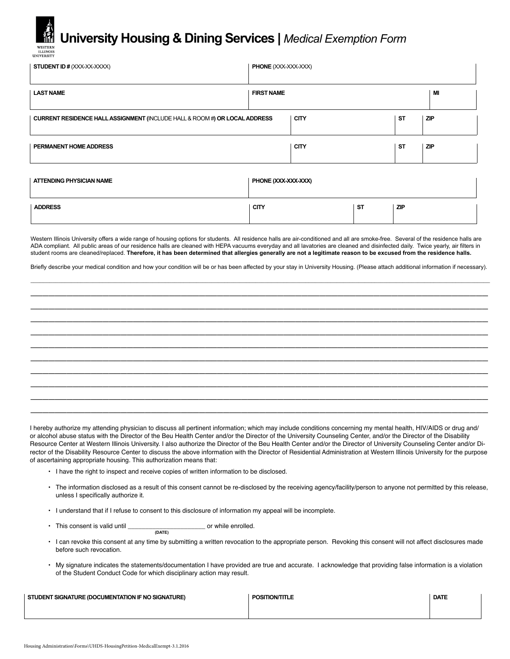## **University Housing & Dining Services |** *Medical Exemption Form*

ILLINOI:<br>UNIVERSITY

| <b>STUDENT ID # (XXX-XX-XXXX)</b>                                                                                                                                                                                                                                                                                                                                       | <b>PHONE</b> (XXX-XXX-XXX) |           |            |            |  |
|-------------------------------------------------------------------------------------------------------------------------------------------------------------------------------------------------------------------------------------------------------------------------------------------------------------------------------------------------------------------------|----------------------------|-----------|------------|------------|--|
| <b>LAST NAME</b>                                                                                                                                                                                                                                                                                                                                                        | <b>FIRST NAME</b>          |           |            | MI         |  |
| CURRENT RESIDENCE HALL ASSIGNMENT (INCLUDE HALL & ROOM #) OR LOCAL ADDRESS                                                                                                                                                                                                                                                                                              | <b>CITY</b>                |           | <b>ST</b>  | <b>ZIP</b> |  |
| PERMANENT HOME ADDRESS                                                                                                                                                                                                                                                                                                                                                  | <b>CITY</b>                |           | <b>ST</b>  | <b>ZIP</b> |  |
| <b>ATTENDING PHYSICIAN NAME</b><br>PHONE (XXX-XXX-XXX)                                                                                                                                                                                                                                                                                                                  |                            |           |            |            |  |
| <b>ADDRESS</b>                                                                                                                                                                                                                                                                                                                                                          | <b>CITY</b>                | <b>ST</b> | <b>ZIP</b> |            |  |
| Western Illinois University offers a wide range of housing options for students. All residence halls are air-conditioned and all are smoke-free. Several of the residence halls are<br>ADA compliant. All public areas of our residence halls are cleaned with HEPA vacuums everyday and all lavatories are cleaned and disinfected daily. Twice yearly, air filters in |                            |           |            |            |  |

student rooms are cleaned/replaced. **Therefore, it has been determined that allergies generally are not a legitimate reason to be excused from the residence halls.**  Briefly describe your medical condition and how your condition will be or has been affected by your stay in University Housing. (Please attach additional information if necessary).

\_\_\_\_\_\_\_\_\_\_\_\_\_\_\_\_\_\_\_\_\_\_\_\_\_\_\_\_\_\_\_\_\_\_\_\_\_\_\_\_\_\_\_\_\_\_\_\_\_\_\_\_\_\_\_\_\_\_\_\_\_\_\_\_\_\_\_\_\_\_\_\_\_\_\_\_\_\_\_\_\_\_\_\_\_\_\_\_\_\_\_\_\_\_\_\_\_\_\_\_\_\_\_\_\_\_\_\_\_\_\_\_\_\_\_\_\_\_\_\_\_\_\_\_\_\_\_\_\_\_\_\_\_\_\_\_\_\_\_\_\_\_\_\_\_\_\_ \_\_\_\_\_\_\_\_\_\_\_\_\_\_\_\_\_\_\_\_\_\_\_\_\_\_\_\_\_\_\_\_\_\_\_\_\_\_\_\_\_\_\_\_\_\_\_\_\_\_\_\_\_\_\_\_\_\_\_\_\_\_\_\_\_\_\_\_\_\_\_\_\_\_\_\_ \_\_\_\_\_\_\_\_\_\_\_\_\_\_\_\_\_\_\_\_\_\_\_\_\_\_\_\_\_\_\_\_\_\_\_\_\_\_\_\_\_\_\_\_\_\_\_\_\_\_\_\_\_\_\_\_\_\_\_\_\_\_\_\_\_\_\_\_\_\_\_\_\_\_\_\_ \_\_\_\_\_\_\_\_\_\_\_\_\_\_\_\_\_\_\_\_\_\_\_\_\_\_\_\_\_\_\_\_\_\_\_\_\_\_\_\_\_\_\_\_\_\_\_\_\_\_\_\_\_\_\_\_\_\_\_\_\_\_\_\_\_\_\_\_\_\_\_\_\_\_\_\_ \_\_\_\_\_\_\_\_\_\_\_\_\_\_\_\_\_\_\_\_\_\_\_\_\_\_\_\_\_\_\_\_\_\_\_\_\_\_\_\_\_\_\_\_\_\_\_\_\_\_\_\_\_\_\_\_\_\_\_\_\_\_\_\_\_\_\_\_\_\_\_\_\_\_\_\_ \_\_\_\_\_\_\_\_\_\_\_\_\_\_\_\_\_\_\_\_\_\_\_\_\_\_\_\_\_\_\_\_\_\_\_\_\_\_\_\_\_\_\_\_\_\_\_\_\_\_\_\_\_\_\_\_\_\_\_\_\_\_\_\_\_\_\_\_\_\_\_\_\_\_\_\_ \_\_\_\_\_\_\_\_\_\_\_\_\_\_\_\_\_\_\_\_\_\_\_\_\_\_\_\_\_\_\_\_\_\_\_\_\_\_\_\_\_\_\_\_\_\_\_\_\_\_\_\_\_\_\_\_\_\_\_\_\_\_\_\_\_\_\_\_\_\_\_\_\_\_\_\_ \_\_\_\_\_\_\_\_\_\_\_\_\_\_\_\_\_\_\_\_\_\_\_\_\_\_\_\_\_\_\_\_\_\_\_\_\_\_\_\_\_\_\_\_\_\_\_\_\_\_\_\_\_\_\_\_\_\_\_\_\_\_\_\_\_\_\_\_\_\_\_\_\_\_\_\_ \_\_\_\_\_\_\_\_\_\_\_\_\_\_\_\_\_\_\_\_\_\_\_\_\_\_\_\_\_\_\_\_\_\_\_\_\_\_\_\_\_\_\_\_\_\_\_\_\_\_\_\_\_\_\_\_\_\_\_\_\_\_\_\_\_\_\_\_\_\_\_\_\_\_\_\_ \_\_\_\_\_\_\_\_\_\_\_\_\_\_\_\_\_\_\_\_\_\_\_\_\_\_\_\_\_\_\_\_\_\_\_\_\_\_\_\_\_\_\_\_\_\_\_\_\_\_\_\_\_\_\_\_\_\_\_\_\_\_\_\_\_\_\_\_\_\_\_\_\_\_\_\_ \_\_\_\_\_\_\_\_\_\_\_\_\_\_\_\_\_\_\_\_\_\_\_\_\_\_\_\_\_\_\_\_\_\_\_\_\_\_\_\_\_\_\_\_\_\_\_\_\_\_\_\_\_\_\_\_\_\_\_\_\_\_\_\_\_\_\_\_\_\_\_\_\_\_\_\_

I hereby authorize my attending physician to discuss all pertinent information; which may include conditions concerning my mental health, HIV/AIDS or drug and/ or alcohol abuse status with the Director of the Beu Health Center and/or the Director of the University Counseling Center, and/or the Director of the Disability Resource Center at Western Illinois University. I also authorize the Director of the Beu Health Center and/or the Director of University Counseling Center and/or Director of the Disability Resource Center to discuss the above information with the Director of Residential Administration at Western Illinois University for the purpose of ascertaining appropriate housing. This authorization means that:

- I have the right to inspect and receive copies of written information to be disclosed.
- The information disclosed as a result of this consent cannot be re-disclosed by the receiving agency/facility/person to anyone not permitted by this release, unless I specifically authorize it.
- I understand that if I refuse to consent to this disclosure of information my appeal will be incomplete.
- This consent is valid until \_\_\_\_\_\_\_\_\_\_\_\_\_\_\_\_\_\_\_\_\_\_\_\_\_\_\_\_\_\_ or while enrolled. **(DATE)**
- I can revoke this consent at any time by submitting a written revocation to the appropriate person. Revoking this consent will not affect disclosures made before such revocation.
- My signature indicates the statements/documentation I have provided are true and accurate. I acknowledge that providing false information is a violation of the Student Conduct Code for which disciplinary action may result.

| STUDENT SIGNATURE (DOCUMENTATION IF NO SIGNATURE) | <b>POSITION/TITLE</b> | <b>DATE</b> |
|---------------------------------------------------|-----------------------|-------------|
|                                                   |                       |             |